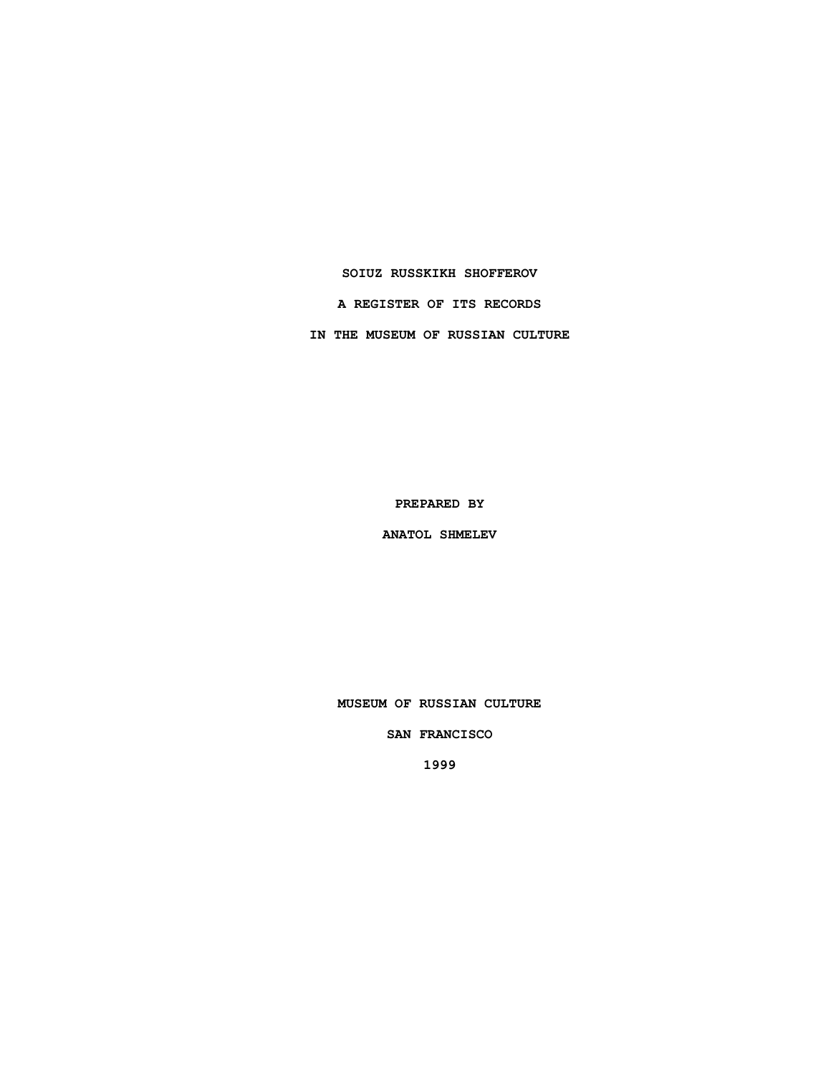## **SOIUZ RUSSKIKH SHOFFEROV**

**A REGISTER OF ITS RECORDS**

**IN THE MUSEUM OF RUSSIAN CULTURE**

**PREPARED BY**

**ANATOL SHMELEV**

**MUSEUM OF RUSSIAN CULTURE**

**SAN FRANCISCO**

**1999**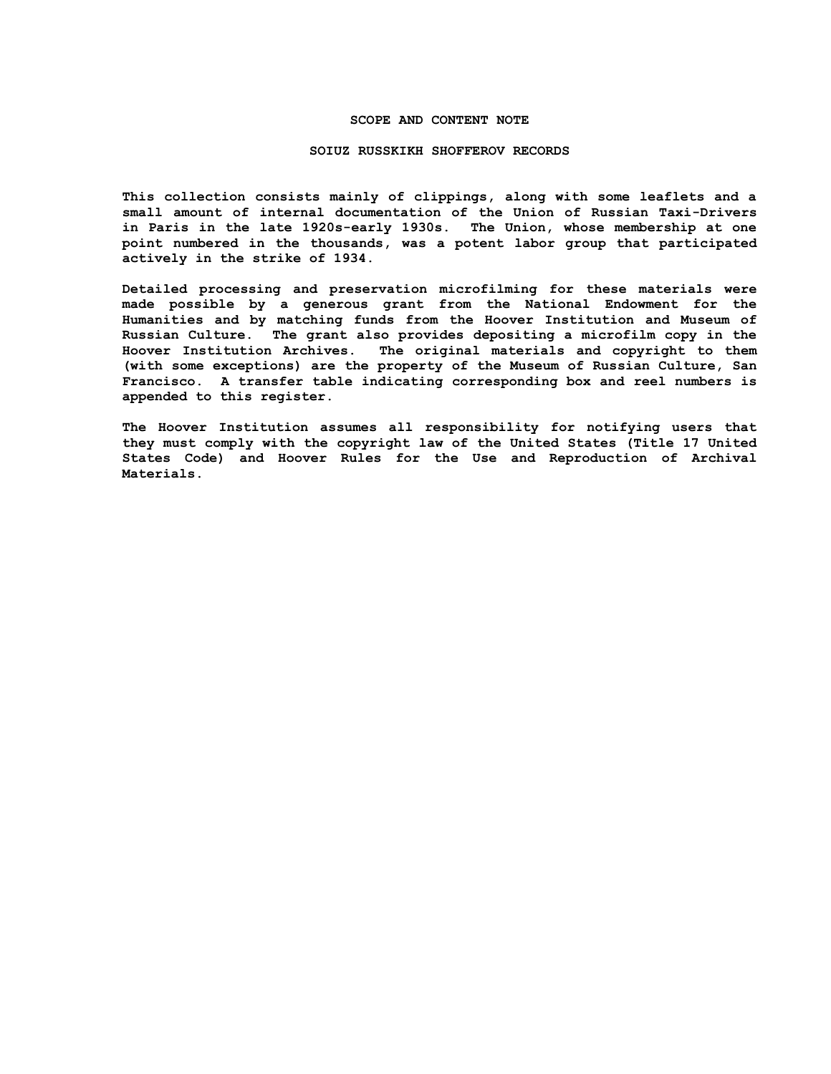## **SCOPE AND CONTENT NOTE**

#### **SOIUZ RUSSKIKH SHOFFEROV RECORDS**

**This collection consists mainly of clippings, along with some leaflets and a small amount of internal documentation of the Union of Russian Taxi-Drivers in Paris in the late 1920s-early 1930s. The Union, whose membership at one point numbered in the thousands, was a potent labor group that participated actively in the strike of 1934.**

**Detailed processing and preservation microfilming for these materials were made possible by a generous grant from the National Endowment for the Humanities and by matching funds from the Hoover Institution and Museum of Russian Culture. The grant also provides depositing a microfilm copy in the Hoover Institution Archives. The original materials and copyright to them (with some exceptions) are the property of the Museum of Russian Culture, San Francisco. A transfer table indicating corresponding box and reel numbers is appended to this register.**

**The Hoover Institution assumes all responsibility for notifying users that they must comply with the copyright law of the United States (Title 17 United States Code) and Hoover Rules for the Use and Reproduction of Archival Materials.**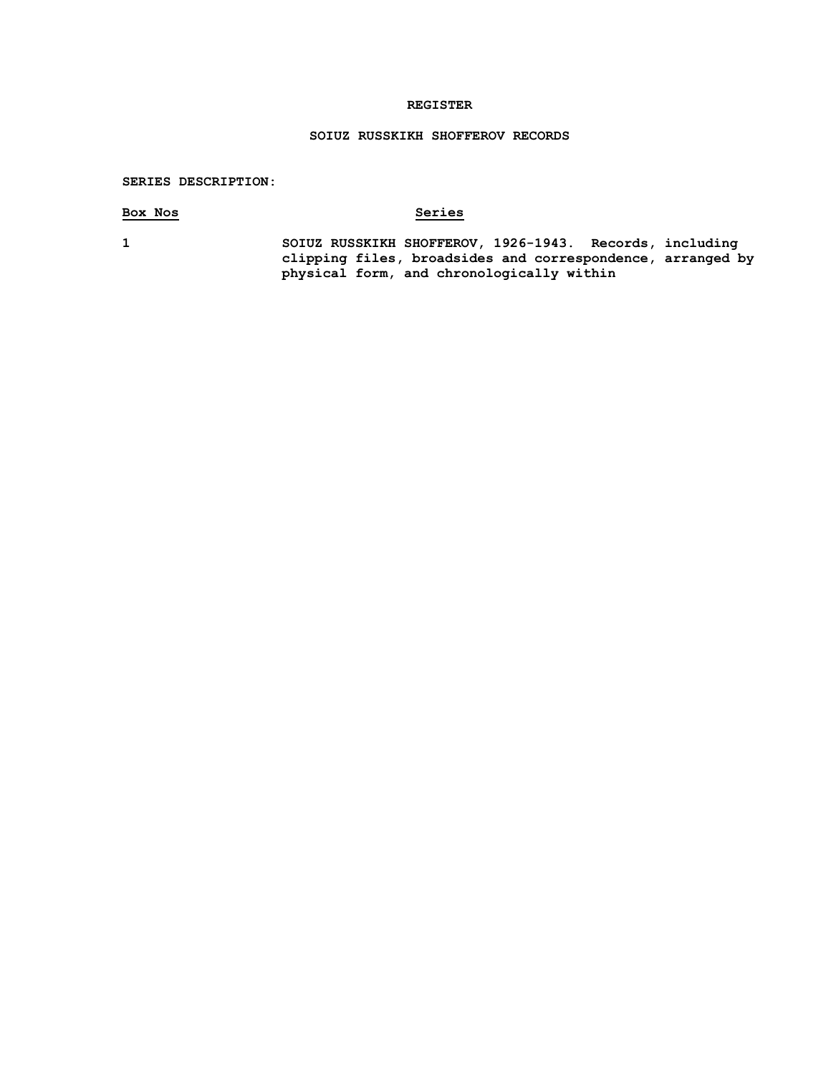## **REGISTER**

# **SOIUZ RUSSKIKH SHOFFEROV RECORDS**

## **SERIES DESCRIPTION:**

# **Box Nos Series**

**1 SOIUZ RUSSKIKH SHOFFEROV, 1926-1943. Records, including clipping files, broadsides and correspondence, arranged by physical form, and chronologically within**